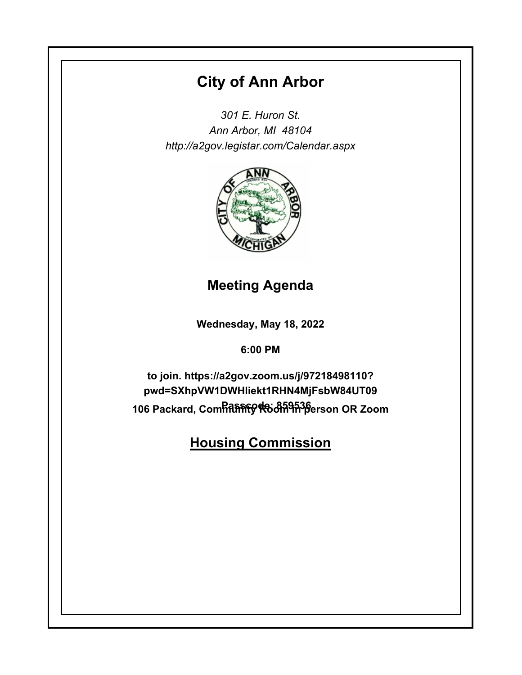# **City of Ann Arbor**

*301 E. Huron St. Ann Arbor, MI 48104 http://a2gov.legistar.com/Calendar.aspx*



**Meeting Agenda**

**Wednesday, May 18, 2022**

**6:00 PM**

106 Packard, Com<del>hithണ് ଡ଼ା ୧</del>୦୫<del>ñ9h36</del>erson OR Zoom **to join. https://a2gov.zoom.us/j/97218498110? pwd=SXhpVW1DWHliekt1RHN4MjFsbW84UT09**

**Housing Commission**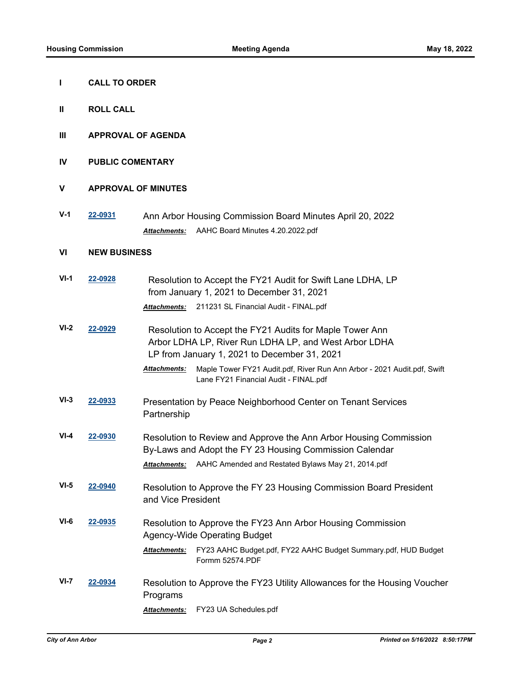- **I CALL TO ORDER**
- **II ROLL CALL**
- **III APPROVAL OF AGENDA**
- **IV PUBLIC COMENTARY**

### **V APPROVAL OF MINUTES**

**V-1 [22-0931](http://a2gov.legistar.com/gateway.aspx?M=L&ID=30107)** Ann Arbor Housing Commission Board Minutes April 20, 2022 *Attachments:* AAHC Board Minutes 4.20.2022.pdf

#### **VI NEW BUSINESS**

| $VI-1$ | 22-0928 | Resolution to Accept the FY21 Audit for Swift Lane LDHA, LP<br>from January 1, 2021 to December 31, 2021                                                          |
|--------|---------|-------------------------------------------------------------------------------------------------------------------------------------------------------------------|
|        |         | 211231 SL Financial Audit - FINAL.pdf<br><b>Attachments:</b>                                                                                                      |
| $VI-2$ | 22-0929 | Resolution to Accept the FY21 Audits for Maple Tower Ann<br>Arbor LDHA LP, River Run LDHA LP, and West Arbor LDHA<br>LP from January 1, 2021 to December 31, 2021 |
|        |         | Maple Tower FY21 Audit.pdf, River Run Ann Arbor - 2021 Audit.pdf, Swift<br><b>Attachments:</b><br>Lane FY21 Financial Audit - FINAL.pdf                           |
| $VI-3$ | 22-0933 | Presentation by Peace Neighborhood Center on Tenant Services<br>Partnership                                                                                       |
| $VI-4$ | 22-0930 | Resolution to Review and Approve the Ann Arbor Housing Commission<br>By-Laws and Adopt the FY 23 Housing Commission Calendar                                      |
|        |         | AAHC Amended and Restated Bylaws May 21, 2014.pdf<br><b>Attachments:</b>                                                                                          |
| $VI-5$ | 22-0940 | Resolution to Approve the FY 23 Housing Commission Board President<br>and Vice President                                                                          |
| $VI-6$ | 22-0935 | Resolution to Approve the FY23 Ann Arbor Housing Commission<br><b>Agency-Wide Operating Budget</b>                                                                |
|        |         | FY23 AAHC Budget.pdf, FY22 AAHC Budget Summary.pdf, HUD Budget<br><b>Attachments:</b><br>Formm 52574.PDF                                                          |
| $VI-7$ | 22-0934 | Resolution to Approve the FY23 Utility Allowances for the Housing Voucher<br>Programs                                                                             |
|        |         | FY23 UA Schedules.pdf<br><b>Attachments:</b>                                                                                                                      |